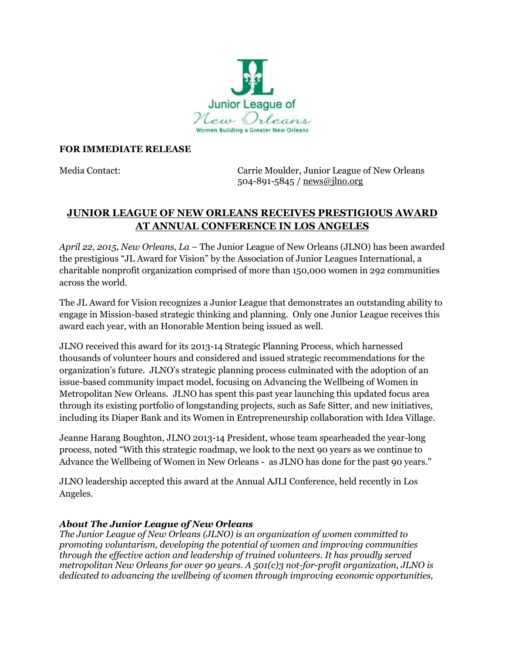

## **FOR IMMEDIATE RELEASE**

Media Contact: Carrie Moulder, Junior League of New Orleans 504-891-5845 / [news@jlno.org](mailto:news@jlno.org)

## **JUNIOR LEAGUE OF NEW ORLEANS RECEIVES PRESTIGIOUS AWARD AT ANNUAL CONFERENCE IN LOS ANGELES**

*April 22, 2015, New Orleans, La* – The Junior League of New Orleans (JLNO) has been awarded the prestigious "JL Award for Vision" by the Association of Junior Leagues International, a charitable nonprofit organization comprised of more than 150,000 women in 292 communities across the world.

The JL Award for Vision recognizes a Junior League that demonstrates an outstanding ability to engage in Mission-based strategic thinking and planning. Only one Junior League receives this award each year, with an Honorable Mention being issued as well.

JLNO received this award for its 2013-14 Strategic Planning Process, which harnessed thousands of volunteer hours and considered and issued strategic recommendations for the organization's future. JLNO's strategic planning process culminated with the adoption of an issue-based community impact model, focusing on Advancing the Wellbeing of Women in Metropolitan New Orleans. JLNO has spent this past year launching this updated focus area through its existing portfolio of longstanding projects, such as Safe Sitter, and new initiatives, including its Diaper Bank and its Women in Entrepreneurship collaboration with Idea Village.

Jeanne Harang Boughton, JLNO 2013-14 President, whose team spearheaded the year-long process, noted "With this strategic roadmap, we look to the next 90 years as we continue to Advance the Wellbeing of Women in New Orleans - as JLNO has done for the past 90 years."

JLNO leadership accepted this award at the Annual AJLI Conference, held recently in Los Angeles.

## *About The Junior League of New Orleans*

*The Junior League of New Orleans (JLNO) is an organization of women committed to promoting voluntarism, developing the potential of women and improving communities through the effective action and leadership of trained volunteers. It has proudly served metropolitan New Orleans for over 90 years. A 501(c)3 not-for-profit organization, JLNO is dedicated to advancing the wellbeing of women through improving economic opportunities,*